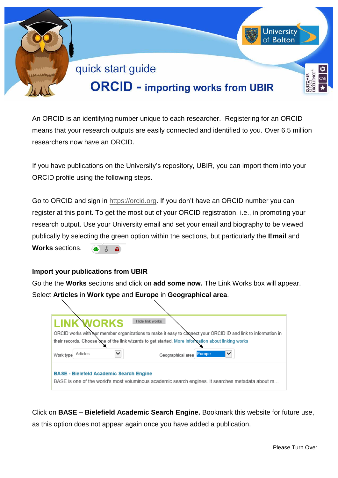

An ORCID is an identifying number unique to each researcher. Registering for an ORCID means that your research outputs are easily connected and identified to you. Over 6.5 million researchers now have an ORCID.

If you have publications on the University's repository, UBIR, you can import them into your ORCID profile using the following steps.

Go to ORCID and sign in [https://orcid.org.](https://orcid.org/) If you don't have an ORCID number you can register at this point. To get the most out of your ORCID registration, i.e., in promoting your research output. Use your University email and set your email and biography to be viewed publically by selecting the green option within the sections, but particularly the **Email** and **Works** sections. 4 8 8

### **Import your publications from UBIR**

Go the the **Works** sections and click on **add some now.** The Link Works box will appear. Select **Articles** in **Work type** and **Europe** in **Geographical area**.

| Hide link works<br><b>LINK WORKS</b>                                                                                                               |  |
|----------------------------------------------------------------------------------------------------------------------------------------------------|--|
| ORCID works with our member organizations to make it easy to connect your ORCID iD and link to information in                                      |  |
| their records. Choose one of the link wizards to get started. More information about linking works                                                 |  |
| $\checkmark$<br>$\checkmark$<br>Europe<br>Articles<br>Geographical area<br>Work type                                                               |  |
| <b>BASE - Bielefeld Academic Search Engine</b><br>BASE is one of the world's most voluminous academic search engines. It searches metadata about m |  |

Click on **BASE – Bielefield Academic Search Engine.** Bookmark this website for future use, as this option does not appear again once you have added a publication.